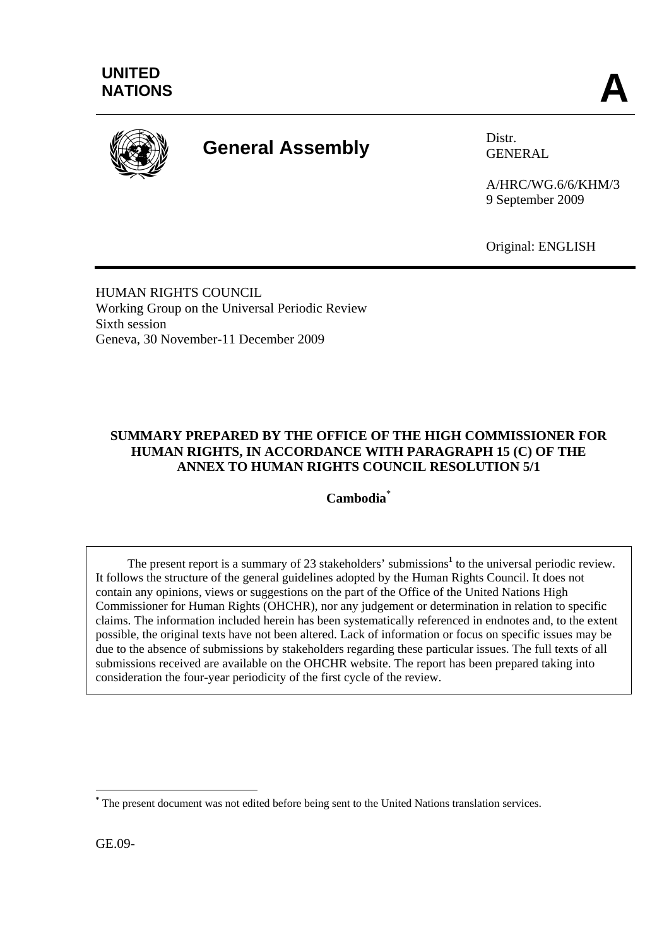

# **General Assembly** Distr.

GENERAL

A/HRC/WG.6/6/KHM/3 9 September 2009

Original: ENGLISH

HUMAN RIGHTS COUNCIL Working Group on the Universal Periodic Review Sixth session Geneva, 30 November-11 December 2009

# **SUMMARY PREPARED BY THE OFFICE OF THE HIGH COMMISSIONER FOR HUMAN RIGHTS, IN ACCORDANCE WITH PARAGRAPH 15 (C) OF THE ANNEX TO HUMAN RIGHTS COUNCIL RESOLUTION 5/1**

**Cambodia**\*

The present report is a summary of 23 stakeholders' submissions<sup>1</sup> to the universal periodic review. It follows the structure of the general guidelines adopted by the Human Rights Council. It does not contain any opinions, views or suggestions on the part of the Office of the United Nations High Commissioner for Human Rights (OHCHR), nor any judgement or determination in relation to specific claims. The information included herein has been systematically referenced in endnotes and, to the extent possible, the original texts have not been altered. Lack of information or focus on specific issues may be due to the absence of submissions by stakeholders regarding these particular issues. The full texts of all submissions received are available on the OHCHR website. The report has been prepared taking into consideration the four-year periodicity of the first cycle of the review.

GE.09-

 $\overline{a}$ 

**<sup>\*</sup>** The present document was not edited before being sent to the United Nations translation services.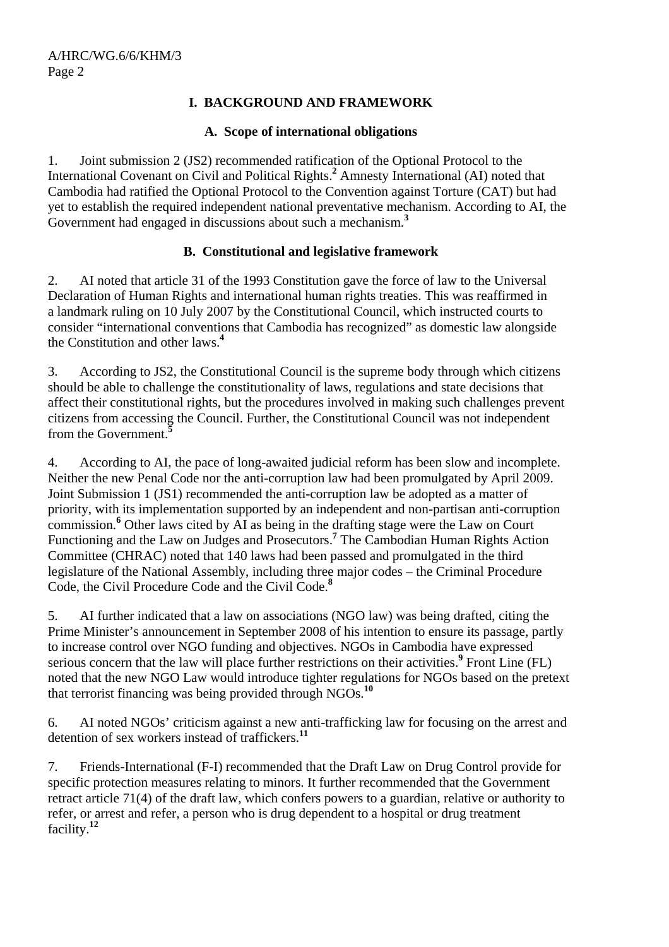# **I. BACKGROUND AND FRAMEWORK**

#### **A. Scope of international obligations**

1. Joint submission 2 (JS2) recommended ratification of the Optional Protocol to the International Covenant on Civil and Political Rights.**<sup>2</sup>** Amnesty International (AI) noted that Cambodia had ratified the Optional Protocol to the Convention against Torture (CAT) but had yet to establish the required independent national preventative mechanism. According to AI, the Government had engaged in discussions about such a mechanism.**<sup>3</sup>**

#### **B. Constitutional and legislative framework**

2. AI noted that article 31 of the 1993 Constitution gave the force of law to the Universal Declaration of Human Rights and international human rights treaties. This was reaffirmed in a landmark ruling on 10 July 2007 by the Constitutional Council, which instructed courts to consider "international conventions that Cambodia has recognized" as domestic law alongside the Constitution and other laws.**<sup>4</sup>**

3. According to JS2, the Constitutional Council is the supreme body through which citizens should be able to challenge the constitutionality of laws, regulations and state decisions that affect their constitutional rights, but the procedures involved in making such challenges prevent citizens from accessing the Council. Further, the Constitutional Council was not independent from the Government.**<sup>5</sup>**

4. According to AI, the pace of long-awaited judicial reform has been slow and incomplete. Neither the new Penal Code nor the anti-corruption law had been promulgated by April 2009. Joint Submission 1 (JS1) recommended the anti-corruption law be adopted as a matter of priority, with its implementation supported by an independent and non-partisan anti-corruption commission.<sup>6</sup> Other laws cited by AI as being in the drafting stage were the Law on Court Functioning and the Law on Judges and Prosecutors.**<sup>7</sup>** The Cambodian Human Rights Action Committee (CHRAC) noted that 140 laws had been passed and promulgated in the third legislature of the National Assembly, including three major codes – the Criminal Procedure Code, the Civil Procedure Code and the Civil Code.**<sup>8</sup>**

5. AI further indicated that a law on associations (NGO law) was being drafted, citing the Prime Minister's announcement in September 2008 of his intention to ensure its passage, partly to increase control over NGO funding and objectives. NGOs in Cambodia have expressed serious concern that the law will place further restrictions on their activities.<sup>9</sup> Front Line (FL) noted that the new NGO Law would introduce tighter regulations for NGOs based on the pretext that terrorist financing was being provided through NGOs.**<sup>10</sup>**

6. AI noted NGOs' criticism against a new anti-trafficking law for focusing on the arrest and detention of sex workers instead of traffickers.**<sup>11</sup>**

7. Friends-International (F-I) recommended that the Draft Law on Drug Control provide for specific protection measures relating to minors. It further recommended that the Government retract article 71(4) of the draft law, which confers powers to a guardian, relative or authority to refer, or arrest and refer, a person who is drug dependent to a hospital or drug treatment facility.**<sup>12</sup>**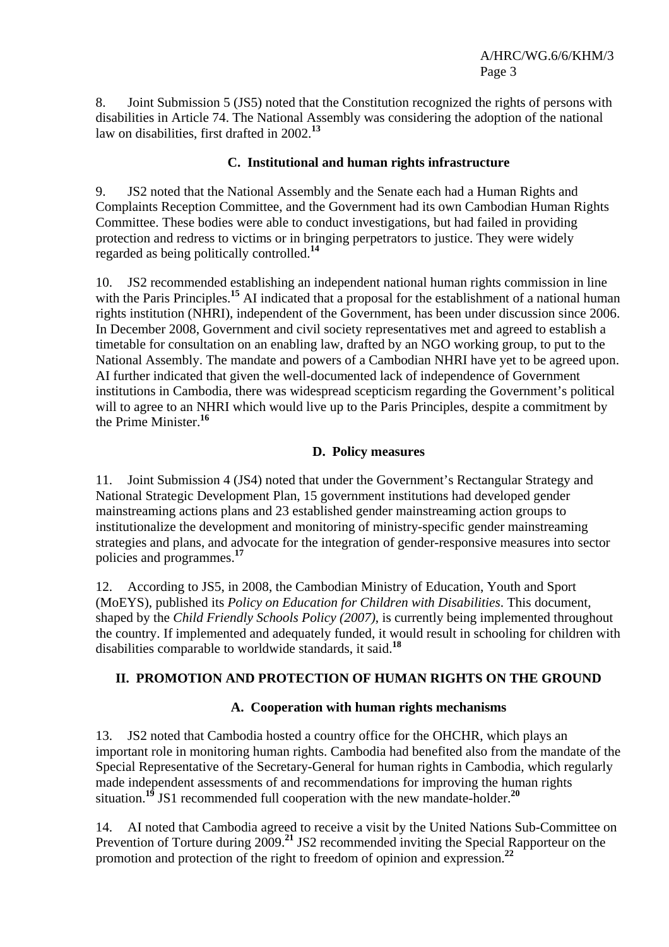8. Joint Submission 5 (JS5) noted that the Constitution recognized the rights of persons with disabilities in Article 74. The National Assembly was considering the adoption of the national law on disabilities, first drafted in 2002.**<sup>13</sup>**

## **C. Institutional and human rights infrastructure**

9. JS2 noted that the National Assembly and the Senate each had a Human Rights and Complaints Reception Committee, and the Government had its own Cambodian Human Rights Committee. These bodies were able to conduct investigations, but had failed in providing protection and redress to victims or in bringing perpetrators to justice. They were widely regarded as being politically controlled.**<sup>14</sup>**

10. JS2 recommended establishing an independent national human rights commission in line with the Paris Principles.<sup>15</sup> AI indicated that a proposal for the establishment of a national human rights institution (NHRI), independent of the Government, has been under discussion since 2006. In December 2008, Government and civil society representatives met and agreed to establish a timetable for consultation on an enabling law, drafted by an NGO working group, to put to the National Assembly. The mandate and powers of a Cambodian NHRI have yet to be agreed upon. AI further indicated that given the well-documented lack of independence of Government institutions in Cambodia, there was widespread scepticism regarding the Government's political will to agree to an NHRI which would live up to the Paris Principles, despite a commitment by the Prime Minister.**<sup>16</sup>**

#### **D. Policy measures**

11. Joint Submission 4 (JS4) noted that under the Government's Rectangular Strategy and National Strategic Development Plan, 15 government institutions had developed gender mainstreaming actions plans and 23 established gender mainstreaming action groups to institutionalize the development and monitoring of ministry-specific gender mainstreaming strategies and plans, and advocate for the integration of gender-responsive measures into sector policies and programmes.**<sup>17</sup>**

12. According to JS5, in 2008, the Cambodian Ministry of Education, Youth and Sport (MoEYS), published its *Policy on Education for Children with Disabilities*. This document, shaped by the *Child Friendly Schools Policy (2007)*, is currently being implemented throughout the country. If implemented and adequately funded, it would result in schooling for children with disabilities comparable to worldwide standards, it said.**<sup>18</sup>**

#### **II. PROMOTION AND PROTECTION OF HUMAN RIGHTS ON THE GROUND**

#### **A. Cooperation with human rights mechanisms**

13. JS2 noted that Cambodia hosted a country office for the OHCHR, which plays an important role in monitoring human rights. Cambodia had benefited also from the mandate of the Special Representative of the Secretary-General for human rights in Cambodia, which regularly made independent assessments of and recommendations for improving the human rights situation.**<sup>19</sup>** JS1 recommended full cooperation with the new mandate-holder.**<sup>20</sup>**

14. AI noted that Cambodia agreed to receive a visit by the United Nations Sub-Committee on Prevention of Torture during 2009.**<sup>21</sup>** JS2 recommended inviting the Special Rapporteur on the promotion and protection of the right to freedom of opinion and expression.**<sup>22</sup>**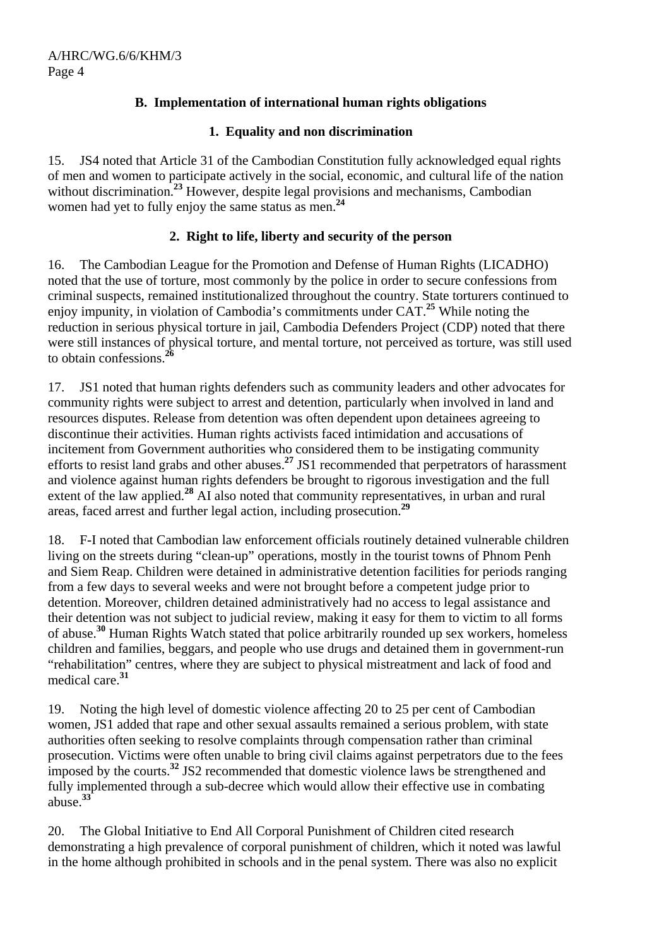# **B. Implementation of international human rights obligations**

#### **1. Equality and non discrimination**

15. JS4 noted that Article 31 of the Cambodian Constitution fully acknowledged equal rights of men and women to participate actively in the social, economic, and cultural life of the nation without discrimination.<sup>23</sup> However, despite legal provisions and mechanisms, Cambodian women had yet to fully enjoy the same status as men.**<sup>24</sup>**

# **2. Right to life, liberty and security of the person**

16. The Cambodian League for the Promotion and Defense of Human Rights (LICADHO) noted that the use of torture, most commonly by the police in order to secure confessions from criminal suspects, remained institutionalized throughout the country. State torturers continued to enjoy impunity, in violation of Cambodia's commitments under CAT.**<sup>25</sup>** While noting the reduction in serious physical torture in jail, Cambodia Defenders Project (CDP) noted that there were still instances of physical torture, and mental torture, not perceived as torture, was still used to obtain confessions.**<sup>26</sup>**

17. JS1 noted that human rights defenders such as community leaders and other advocates for community rights were subject to arrest and detention, particularly when involved in land and resources disputes. Release from detention was often dependent upon detainees agreeing to discontinue their activities. Human rights activists faced intimidation and accusations of incitement from Government authorities who considered them to be instigating community efforts to resist land grabs and other abuses.**<sup>27</sup>** JS1 recommended that perpetrators of harassment and violence against human rights defenders be brought to rigorous investigation and the full extent of the law applied.**<sup>28</sup>** AI also noted that community representatives, in urban and rural areas, faced arrest and further legal action, including prosecution.**<sup>29</sup>**

18. F-I noted that Cambodian law enforcement officials routinely detained vulnerable children living on the streets during "clean-up" operations, mostly in the tourist towns of Phnom Penh and Siem Reap. Children were detained in administrative detention facilities for periods ranging from a few days to several weeks and were not brought before a competent judge prior to detention. Moreover, children detained administratively had no access to legal assistance and their detention was not subject to judicial review, making it easy for them to victim to all forms of abuse.**<sup>30</sup>** Human Rights Watch stated that police arbitrarily rounded up sex workers, homeless children and families, beggars, and people who use drugs and detained them in government-run "rehabilitation" centres, where they are subject to physical mistreatment and lack of food and medical care.**<sup>31</sup>**

19. Noting the high level of domestic violence affecting 20 to 25 per cent of Cambodian women, JS1 added that rape and other sexual assaults remained a serious problem, with state authorities often seeking to resolve complaints through compensation rather than criminal prosecution. Victims were often unable to bring civil claims against perpetrators due to the fees imposed by the courts.**<sup>32</sup>** JS2 recommended that domestic violence laws be strengthened and fully implemented through a sub-decree which would allow their effective use in combating abuse.**<sup>33</sup>**

20. The Global Initiative to End All Corporal Punishment of Children cited research demonstrating a high prevalence of corporal punishment of children, which it noted was lawful in the home although prohibited in schools and in the penal system. There was also no explicit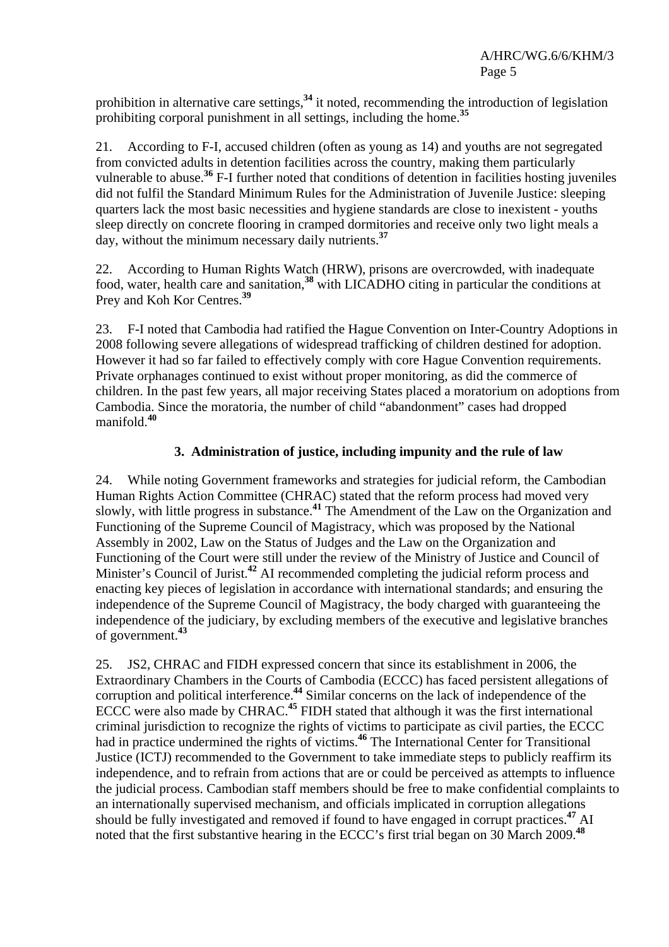prohibition in alternative care settings,**<sup>34</sup>** it noted, recommending the introduction of legislation prohibiting corporal punishment in all settings, including the home.**<sup>35</sup>**

21. According to F-I, accused children (often as young as 14) and youths are not segregated from convicted adults in detention facilities across the country, making them particularly vulnerable to abuse.**<sup>36</sup>** F-I further noted that conditions of detention in facilities hosting juveniles did not fulfil the Standard Minimum Rules for the Administration of Juvenile Justice: sleeping quarters lack the most basic necessities and hygiene standards are close to inexistent - youths sleep directly on concrete flooring in cramped dormitories and receive only two light meals a day, without the minimum necessary daily nutrients.**<sup>37</sup>**

22. According to Human Rights Watch (HRW), prisons are overcrowded, with inadequate food, water, health care and sanitation,**<sup>38</sup>** with LICADHO citing in particular the conditions at Prey and Koh Kor Centres.**<sup>39</sup>**

23. F-I noted that Cambodia had ratified the Hague Convention on Inter-Country Adoptions in 2008 following severe allegations of widespread trafficking of children destined for adoption. However it had so far failed to effectively comply with core Hague Convention requirements. Private orphanages continued to exist without proper monitoring, as did the commerce of children. In the past few years, all major receiving States placed a moratorium on adoptions from Cambodia. Since the moratoria, the number of child "abandonment" cases had dropped manifold.**<sup>40</sup>**

# **3. Administration of justice, including impunity and the rule of law**

24. While noting Government frameworks and strategies for judicial reform, the Cambodian Human Rights Action Committee (CHRAC) stated that the reform process had moved very slowly, with little progress in substance.**<sup>41</sup>** The Amendment of the Law on the Organization and Functioning of the Supreme Council of Magistracy, which was proposed by the National Assembly in 2002, Law on the Status of Judges and the Law on the Organization and Functioning of the Court were still under the review of the Ministry of Justice and Council of Minister's Council of Jurist.**<sup>42</sup>** AI recommended completing the judicial reform process and enacting key pieces of legislation in accordance with international standards; and ensuring the independence of the Supreme Council of Magistracy, the body charged with guaranteeing the independence of the judiciary, by excluding members of the executive and legislative branches of government.**<sup>43</sup>**

25. JS2, CHRAC and FIDH expressed concern that since its establishment in 2006, the Extraordinary Chambers in the Courts of Cambodia (ECCC) has faced persistent allegations of corruption and political interference.<sup>44</sup> Similar concerns on the lack of independence of the ECCC were also made by CHRAC.**<sup>45</sup>** FIDH stated that although it was the first international criminal jurisdiction to recognize the rights of victims to participate as civil parties, the ECCC had in practice undermined the rights of victims.**<sup>46</sup>** The International Center for Transitional Justice (ICTJ) recommended to the Government to take immediate steps to publicly reaffirm its independence, and to refrain from actions that are or could be perceived as attempts to influence the judicial process. Cambodian staff members should be free to make confidential complaints to an internationally supervised mechanism, and officials implicated in corruption allegations should be fully investigated and removed if found to have engaged in corrupt practices.**<sup>47</sup>** AI noted that the first substantive hearing in the ECCC's first trial began on 30 March 2009.**<sup>48</sup>**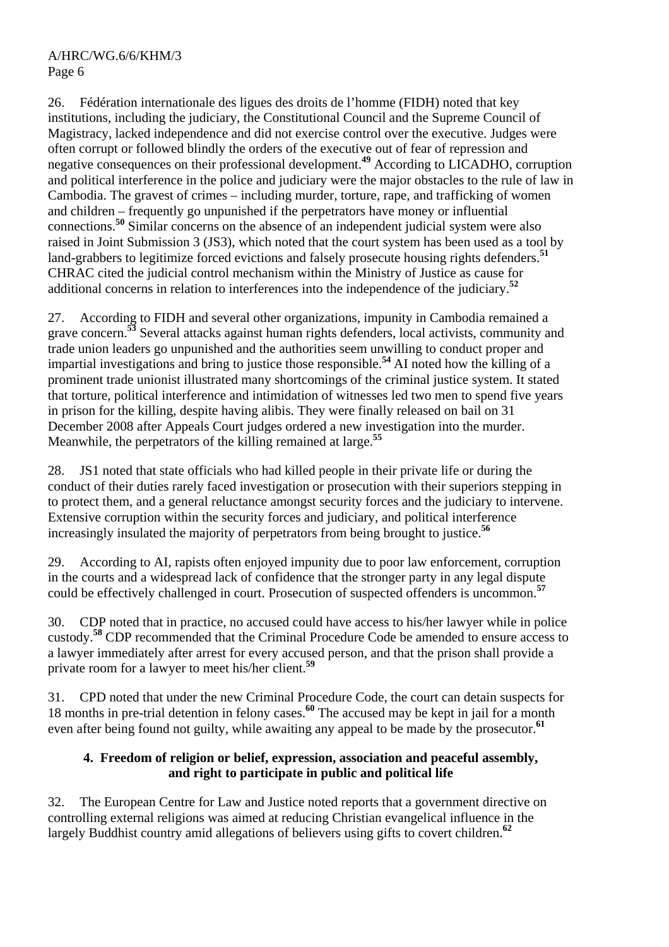26. Fédération internationale des ligues des droits de l'homme (FIDH) noted that key institutions, including the judiciary, the Constitutional Council and the Supreme Council of Magistracy, lacked independence and did not exercise control over the executive. Judges were often corrupt or followed blindly the orders of the executive out of fear of repression and negative consequences on their professional development.**<sup>49</sup>** According to LICADHO, corruption and political interference in the police and judiciary were the major obstacles to the rule of law in Cambodia. The gravest of crimes – including murder, torture, rape, and trafficking of women and children – frequently go unpunished if the perpetrators have money or influential connections.**<sup>50</sup>** Similar concerns on the absence of an independent judicial system were also raised in Joint Submission 3 (JS3), which noted that the court system has been used as a tool by land-grabbers to legitimize forced evictions and falsely prosecute housing rights defenders.**<sup>51</sup>** CHRAC cited the judicial control mechanism within the Ministry of Justice as cause for additional concerns in relation to interferences into the independence of the judiciary.**<sup>52</sup>**

27. According to FIDH and several other organizations, impunity in Cambodia remained a grave concern.**<sup>53</sup>** Several attacks against human rights defenders, local activists, community and trade union leaders go unpunished and the authorities seem unwilling to conduct proper and impartial investigations and bring to justice those responsible.**<sup>54</sup>** AI noted how the killing of a prominent trade unionist illustrated many shortcomings of the criminal justice system. It stated that torture, political interference and intimidation of witnesses led two men to spend five years in prison for the killing, despite having alibis. They were finally released on bail on 31 December 2008 after Appeals Court judges ordered a new investigation into the murder. Meanwhile, the perpetrators of the killing remained at large.**<sup>55</sup>**

28. JS1 noted that state officials who had killed people in their private life or during the conduct of their duties rarely faced investigation or prosecution with their superiors stepping in to protect them, and a general reluctance amongst security forces and the judiciary to intervene. Extensive corruption within the security forces and judiciary, and political interference increasingly insulated the majority of perpetrators from being brought to justice.**<sup>56</sup>**

29. According to AI, rapists often enjoyed impunity due to poor law enforcement, corruption in the courts and a widespread lack of confidence that the stronger party in any legal dispute could be effectively challenged in court. Prosecution of suspected offenders is uncommon.**<sup>57</sup>**

30. CDP noted that in practice, no accused could have access to his/her lawyer while in police custody.**<sup>58</sup>** CDP recommended that the Criminal Procedure Code be amended to ensure access to a lawyer immediately after arrest for every accused person, and that the prison shall provide a private room for a lawyer to meet his/her client.**<sup>59</sup>**

31. CPD noted that under the new Criminal Procedure Code, the court can detain suspects for 18 months in pre-trial detention in felony cases.**<sup>60</sup>** The accused may be kept in jail for a month even after being found not guilty, while awaiting any appeal to be made by the prosecutor.**<sup>61</sup>**

# **4. Freedom of religion or belief, expression, association and peaceful assembly, and right to participate in public and political life**

32. The European Centre for Law and Justice noted reports that a government directive on controlling external religions was aimed at reducing Christian evangelical influence in the largely Buddhist country amid allegations of believers using gifts to covert children.**<sup>62</sup>**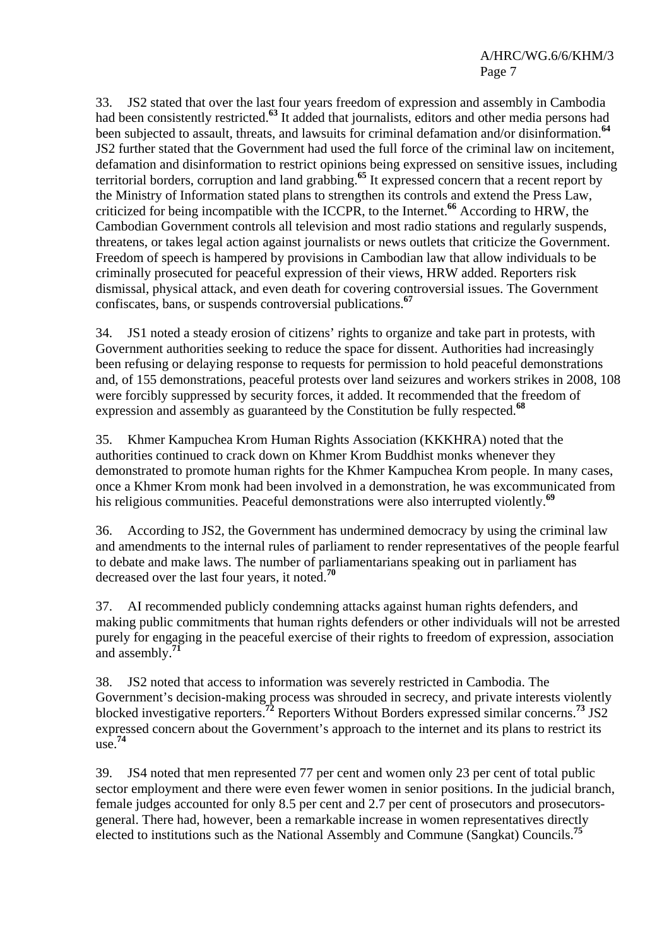33. JS2 stated that over the last four years freedom of expression and assembly in Cambodia had been consistently restricted.**<sup>63</sup>** It added that journalists, editors and other media persons had been subjected to assault, threats, and lawsuits for criminal defamation and/or disinformation.**<sup>64</sup>** JS2 further stated that the Government had used the full force of the criminal law on incitement, defamation and disinformation to restrict opinions being expressed on sensitive issues, including territorial borders, corruption and land grabbing.**<sup>65</sup>** It expressed concern that a recent report by the Ministry of Information stated plans to strengthen its controls and extend the Press Law, criticized for being incompatible with the ICCPR, to the Internet.**<sup>66</sup>** According to HRW, the Cambodian Government controls all television and most radio stations and regularly suspends, threatens, or takes legal action against journalists or news outlets that criticize the Government. Freedom of speech is hampered by provisions in Cambodian law that allow individuals to be criminally prosecuted for peaceful expression of their views, HRW added. Reporters risk dismissal, physical attack, and even death for covering controversial issues. The Government confiscates, bans, or suspends controversial publications.**<sup>67</sup>**

34. JS1 noted a steady erosion of citizens' rights to organize and take part in protests, with Government authorities seeking to reduce the space for dissent. Authorities had increasingly been refusing or delaying response to requests for permission to hold peaceful demonstrations and, of 155 demonstrations, peaceful protests over land seizures and workers strikes in 2008, 108 were forcibly suppressed by security forces, it added. It recommended that the freedom of expression and assembly as guaranteed by the Constitution be fully respected.**<sup>68</sup>**

35. Khmer Kampuchea Krom Human Rights Association (KKKHRA) noted that the authorities continued to crack down on Khmer Krom Buddhist monks whenever they demonstrated to promote human rights for the Khmer Kampuchea Krom people. In many cases, once a Khmer Krom monk had been involved in a demonstration, he was excommunicated from his religious communities. Peaceful demonstrations were also interrupted violently.**<sup>69</sup>**

36. According to JS2, the Government has undermined democracy by using the criminal law and amendments to the internal rules of parliament to render representatives of the people fearful to debate and make laws. The number of parliamentarians speaking out in parliament has decreased over the last four years, it noted.**<sup>70</sup>**

37. AI recommended publicly condemning attacks against human rights defenders, and making public commitments that human rights defenders or other individuals will not be arrested purely for engaging in the peaceful exercise of their rights to freedom of expression, association and assembly.**<sup>71</sup>**

38. JS2 noted that access to information was severely restricted in Cambodia. The Government's decision-making process was shrouded in secrecy, and private interests violently blocked investigative reporters.**<sup>72</sup>** Reporters Without Borders expressed similar concerns.**<sup>73</sup>** JS2 expressed concern about the Government's approach to the internet and its plans to restrict its use.**<sup>74</sup>**

39. JS4 noted that men represented 77 per cent and women only 23 per cent of total public sector employment and there were even fewer women in senior positions. In the judicial branch, female judges accounted for only 8.5 per cent and 2.7 per cent of prosecutors and prosecutorsgeneral. There had, however, been a remarkable increase in women representatives directly elected to institutions such as the National Assembly and Commune (Sangkat) Councils.**<sup>75</sup>**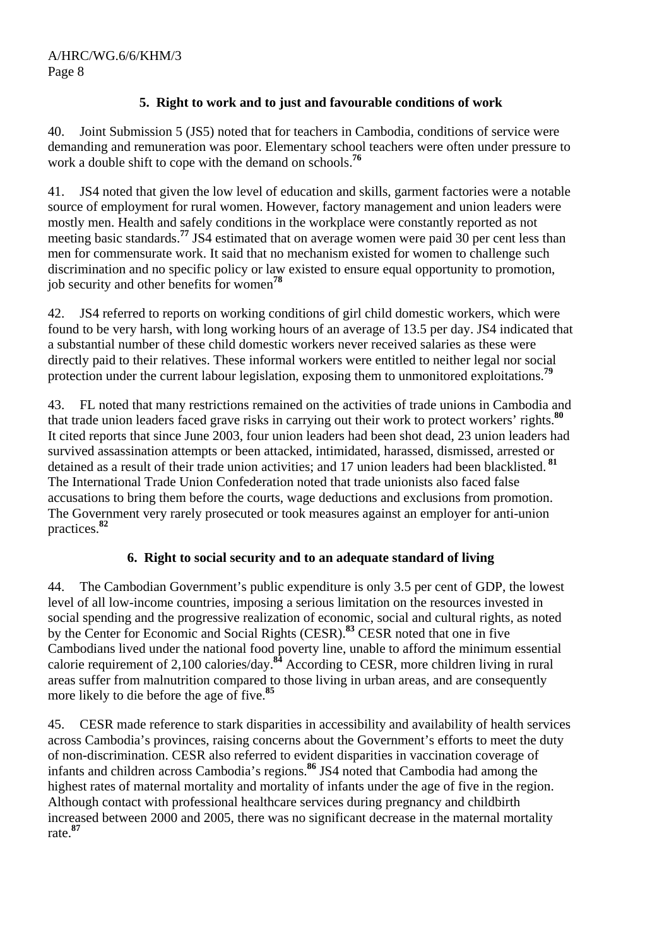# **5. Right to work and to just and favourable conditions of work**

40. Joint Submission 5 (JS5) noted that for teachers in Cambodia, conditions of service were demanding and remuneration was poor. Elementary school teachers were often under pressure to work a double shift to cope with the demand on schools.**<sup>76</sup>**

41. JS4 noted that given the low level of education and skills, garment factories were a notable source of employment for rural women. However, factory management and union leaders were mostly men. Health and safely conditions in the workplace were constantly reported as not meeting basic standards.<sup>77</sup> JS4 estimated that on average women were paid 30 per cent less than men for commensurate work. It said that no mechanism existed for women to challenge such discrimination and no specific policy or law existed to ensure equal opportunity to promotion, job security and other benefits for women**<sup>78</sup>**

42. JS4 referred to reports on working conditions of girl child domestic workers, which were found to be very harsh, with long working hours of an average of 13.5 per day. JS4 indicated that a substantial number of these child domestic workers never received salaries as these were directly paid to their relatives. These informal workers were entitled to neither legal nor social protection under the current labour legislation, exposing them to unmonitored exploitations.**<sup>79</sup>**

43. FL noted that many restrictions remained on the activities of trade unions in Cambodia and that trade union leaders faced grave risks in carrying out their work to protect workers' rights.**<sup>80</sup>** It cited reports that since June 2003, four union leaders had been shot dead, 23 union leaders had survived assassination attempts or been attacked, intimidated, harassed, dismissed, arrested or detained as a result of their trade union activities; and 17 union leaders had been blacklisted. **<sup>81</sup>** The International Trade Union Confederation noted that trade unionists also faced false accusations to bring them before the courts, wage deductions and exclusions from promotion. The Government very rarely prosecuted or took measures against an employer for anti-union practices.**<sup>82</sup>**

#### **6. Right to social security and to an adequate standard of living**

44. The Cambodian Government's public expenditure is only 3.5 per cent of GDP, the lowest level of all low-income countries, imposing a serious limitation on the resources invested in social spending and the progressive realization of economic, social and cultural rights, as noted by the Center for Economic and Social Rights (CESR).**<sup>83</sup>** CESR noted that one in five Cambodians lived under the national food poverty line, unable to afford the minimum essential calorie requirement of 2,100 calories/day.**<sup>84</sup>** According to CESR, more children living in rural areas suffer from malnutrition compared to those living in urban areas, and are consequently more likely to die before the age of five.**<sup>85</sup>**

45. CESR made reference to stark disparities in accessibility and availability of health services across Cambodia's provinces, raising concerns about the Government's efforts to meet the duty of non-discrimination. CESR also referred to evident disparities in vaccination coverage of infants and children across Cambodia's regions.**<sup>86</sup>** JS4 noted that Cambodia had among the highest rates of maternal mortality and mortality of infants under the age of five in the region. Although contact with professional healthcare services during pregnancy and childbirth increased between 2000 and 2005, there was no significant decrease in the maternal mortality rate.**<sup>87</sup>**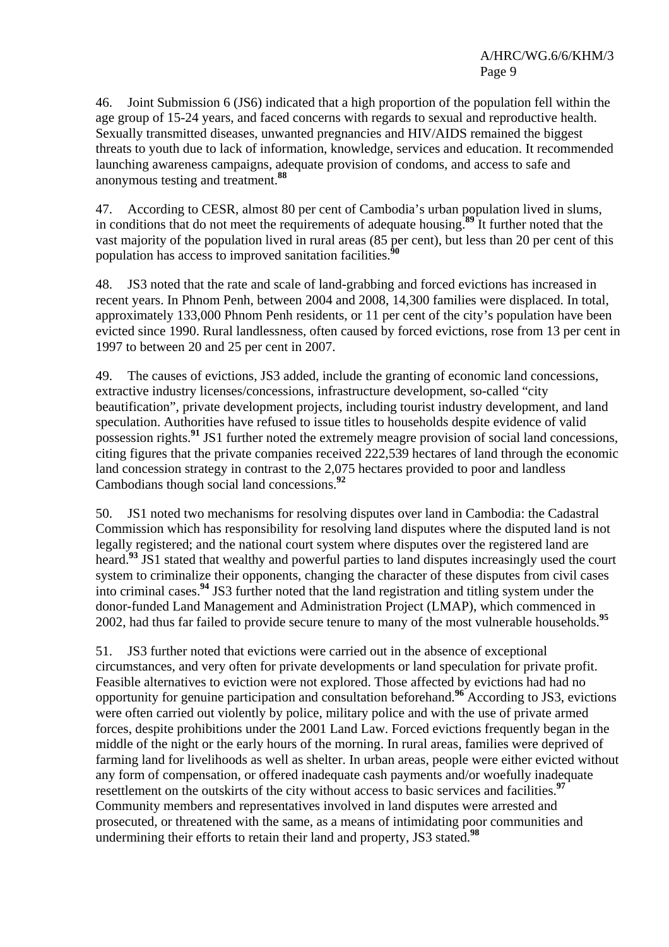46. Joint Submission 6 (JS6) indicated that a high proportion of the population fell within the age group of 15-24 years, and faced concerns with regards to sexual and reproductive health. Sexually transmitted diseases, unwanted pregnancies and HIV/AIDS remained the biggest threats to youth due to lack of information, knowledge, services and education. It recommended launching awareness campaigns, adequate provision of condoms, and access to safe and anonymous testing and treatment.**<sup>88</sup>**

47. According to CESR, almost 80 per cent of Cambodia's urban population lived in slums, in conditions that do not meet the requirements of adequate housing.**<sup>89</sup>** It further noted that the vast majority of the population lived in rural areas (85 per cent), but less than 20 per cent of this population has access to improved sanitation facilities.**<sup>90</sup>**

48. JS3 noted that the rate and scale of land-grabbing and forced evictions has increased in recent years. In Phnom Penh, between 2004 and 2008, 14,300 families were displaced. In total, approximately 133,000 Phnom Penh residents, or 11 per cent of the city's population have been evicted since 1990. Rural landlessness, often caused by forced evictions, rose from 13 per cent in 1997 to between 20 and 25 per cent in 2007.

49. The causes of evictions, JS3 added, include the granting of economic land concessions, extractive industry licenses/concessions, infrastructure development, so-called "city beautification", private development projects, including tourist industry development, and land speculation. Authorities have refused to issue titles to households despite evidence of valid possession rights.**<sup>91</sup>** JS1 further noted the extremely meagre provision of social land concessions, citing figures that the private companies received 222,539 hectares of land through the economic land concession strategy in contrast to the 2,075 hectares provided to poor and landless Cambodians though social land concessions.**<sup>92</sup>**

50. JS1 noted two mechanisms for resolving disputes over land in Cambodia: the Cadastral Commission which has responsibility for resolving land disputes where the disputed land is not legally registered; and the national court system where disputes over the registered land are heard.**<sup>93</sup>** JS1 stated that wealthy and powerful parties to land disputes increasingly used the court system to criminalize their opponents, changing the character of these disputes from civil cases into criminal cases.**<sup>94</sup>** JS3 further noted that the land registration and titling system under the donor-funded Land Management and Administration Project (LMAP), which commenced in 2002, had thus far failed to provide secure tenure to many of the most vulnerable households.**<sup>95</sup>**

51. JS3 further noted that evictions were carried out in the absence of exceptional circumstances, and very often for private developments or land speculation for private profit. Feasible alternatives to eviction were not explored. Those affected by evictions had had no opportunity for genuine participation and consultation beforehand.**<sup>96</sup>** According to JS3, evictions were often carried out violently by police, military police and with the use of private armed forces, despite prohibitions under the 2001 Land Law. Forced evictions frequently began in the middle of the night or the early hours of the morning. In rural areas, families were deprived of farming land for livelihoods as well as shelter. In urban areas, people were either evicted without any form of compensation, or offered inadequate cash payments and/or woefully inadequate resettlement on the outskirts of the city without access to basic services and facilities.**<sup>97</sup>** Community members and representatives involved in land disputes were arrested and prosecuted, or threatened with the same, as a means of intimidating poor communities and undermining their efforts to retain their land and property, JS3 stated.**<sup>98</sup>**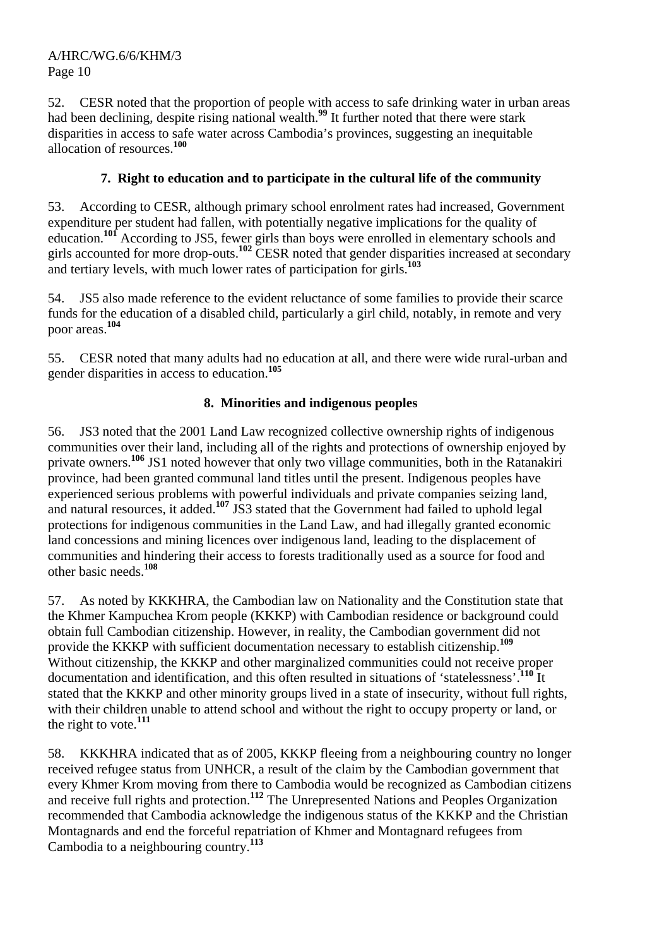52. CESR noted that the proportion of people with access to safe drinking water in urban areas had been declining, despite rising national wealth.**<sup>99</sup>** It further noted that there were stark disparities in access to safe water across Cambodia's provinces, suggesting an inequitable allocation of resources.**<sup>100</sup>**

# **7. Right to education and to participate in the cultural life of the community**

53. According to CESR, although primary school enrolment rates had increased, Government expenditure per student had fallen, with potentially negative implications for the quality of education.<sup>101</sup> According to JS5, fewer girls than boys were enrolled in elementary schools and girls accounted for more drop-outs.**<sup>102</sup>** CESR noted that gender disparities increased at secondary and tertiary levels, with much lower rates of participation for girls.**<sup>103</sup>**

54. JS5 also made reference to the evident reluctance of some families to provide their scarce funds for the education of a disabled child, particularly a girl child, notably, in remote and very poor areas.**<sup>104</sup>**

55. CESR noted that many adults had no education at all, and there were wide rural-urban and gender disparities in access to education.**<sup>105</sup>**

# **8. Minorities and indigenous peoples**

56. JS3 noted that the 2001 Land Law recognized collective ownership rights of indigenous communities over their land, including all of the rights and protections of ownership enjoyed by private owners.**<sup>106</sup>** JS1 noted however that only two village communities, both in the Ratanakiri province, had been granted communal land titles until the present. Indigenous peoples have experienced serious problems with powerful individuals and private companies seizing land, and natural resources, it added.<sup>107</sup> JS3 stated that the Government had failed to uphold legal protections for indigenous communities in the Land Law, and had illegally granted economic land concessions and mining licences over indigenous land, leading to the displacement of communities and hindering their access to forests traditionally used as a source for food and other basic needs.**<sup>108</sup>**

57. As noted by KKKHRA, the Cambodian law on Nationality and the Constitution state that the Khmer Kampuchea Krom people (KKKP) with Cambodian residence or background could obtain full Cambodian citizenship. However, in reality, the Cambodian government did not provide the KKKP with sufficient documentation necessary to establish citizenship.**<sup>109</sup>** Without citizenship, the KKKP and other marginalized communities could not receive proper documentation and identification, and this often resulted in situations of 'statelessness'.**<sup>110</sup>** It stated that the KKKP and other minority groups lived in a state of insecurity, without full rights, with their children unable to attend school and without the right to occupy property or land, or the right to vote.**<sup>111</sup>**

58. KKKHRA indicated that as of 2005, KKKP fleeing from a neighbouring country no longer received refugee status from UNHCR, a result of the claim by the Cambodian government that every Khmer Krom moving from there to Cambodia would be recognized as Cambodian citizens and receive full rights and protection.**<sup>112</sup>** The Unrepresented Nations and Peoples Organization recommended that Cambodia acknowledge the indigenous status of the KKKP and the Christian Montagnards and end the forceful repatriation of Khmer and Montagnard refugees from Cambodia to a neighbouring country.**<sup>113</sup>**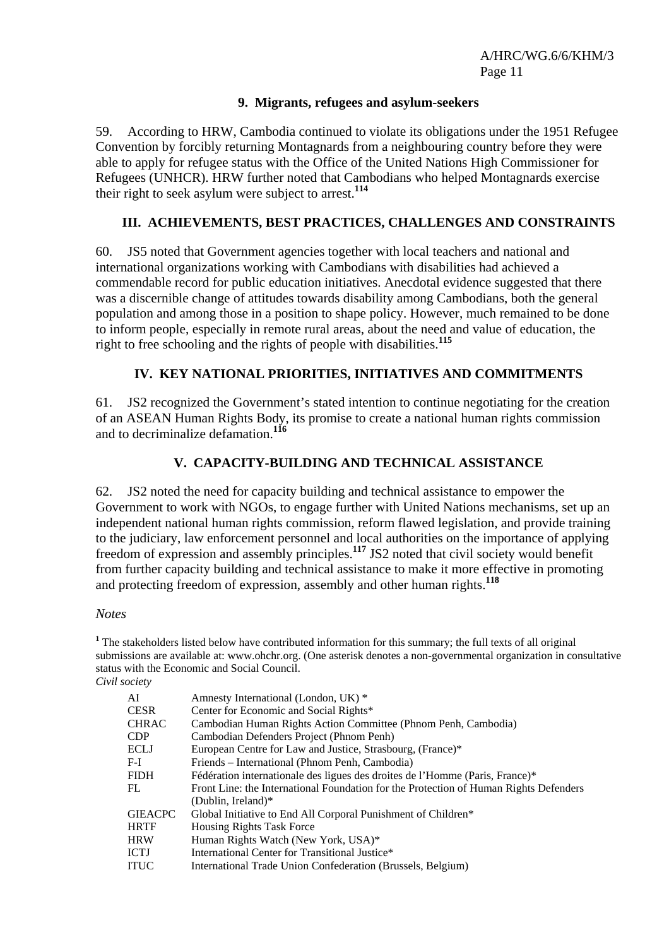#### **9. Migrants, refugees and asylum-seekers**

59. According to HRW, Cambodia continued to violate its obligations under the 1951 Refugee Convention by forcibly returning Montagnards from a neighbouring country before they were able to apply for refugee status with the Office of the United Nations High Commissioner for Refugees (UNHCR). HRW further noted that Cambodians who helped Montagnards exercise their right to seek asylum were subject to arrest.**<sup>114</sup>**

#### **III. ACHIEVEMENTS, BEST PRACTICES, CHALLENGES AND CONSTRAINTS**

60. JS5 noted that Government agencies together with local teachers and national and international organizations working with Cambodians with disabilities had achieved a commendable record for public education initiatives. Anecdotal evidence suggested that there was a discernible change of attitudes towards disability among Cambodians, both the general population and among those in a position to shape policy. However, much remained to be done to inform people, especially in remote rural areas, about the need and value of education, the right to free schooling and the rights of people with disabilities.**<sup>115</sup>**

# **IV. KEY NATIONAL PRIORITIES, INITIATIVES AND COMMITMENTS**

61. JS2 recognized the Government's stated intention to continue negotiating for the creation of an ASEAN Human Rights Body, its promise to create a national human rights commission and to decriminalize defamation.**<sup>116</sup>**

# **V. CAPACITY-BUILDING AND TECHNICAL ASSISTANCE**

62. JS2 noted the need for capacity building and technical assistance to empower the Government to work with NGOs, to engage further with United Nations mechanisms, set up an independent national human rights commission, reform flawed legislation, and provide training to the judiciary, law enforcement personnel and local authorities on the importance of applying freedom of expression and assembly principles.**<sup>117</sup>** JS2 noted that civil society would benefit from further capacity building and technical assistance to make it more effective in promoting and protecting freedom of expression, assembly and other human rights.**<sup>118</sup>**

#### *Notes*

<sup>1</sup> The stakeholders listed below have contributed information for this summary; the full texts of all original submissions are available at: www.ohchr.org. (One asterisk denotes a non-governmental organization in consultative status with the Economic and Social Council.

| Civil society |
|---------------|
|               |

| AI      | Amnesty International (London, UK) *                                                  |
|---------|---------------------------------------------------------------------------------------|
| CESR    | Center for Economic and Social Rights*                                                |
| CHRAC   | Cambodian Human Rights Action Committee (Phnom Penh, Cambodia)                        |
| CDP     | Cambodian Defenders Project (Phnom Penh)                                              |
| ECLJ    | European Centre for Law and Justice, Strasbourg, (France)*                            |
| F-I     | Friends – International (Phnom Penh, Cambodia)                                        |
| FIDH    | Fédération internationale des ligues des droites de l'Homme (Paris, France)*          |
| FL      | Front Line: the International Foundation for the Protection of Human Rights Defenders |
|         | (Dublin, Ireland) $*$                                                                 |
| GIEACPC | Global Initiative to End All Corporal Punishment of Children*                         |
| HRTF    | <b>Housing Rights Task Force</b>                                                      |
| HRW     | Human Rights Watch (New York, USA)*                                                   |
| ICTJ    | International Center for Transitional Justice*                                        |
| ITUC    | International Trade Union Confederation (Brussels, Belgium)                           |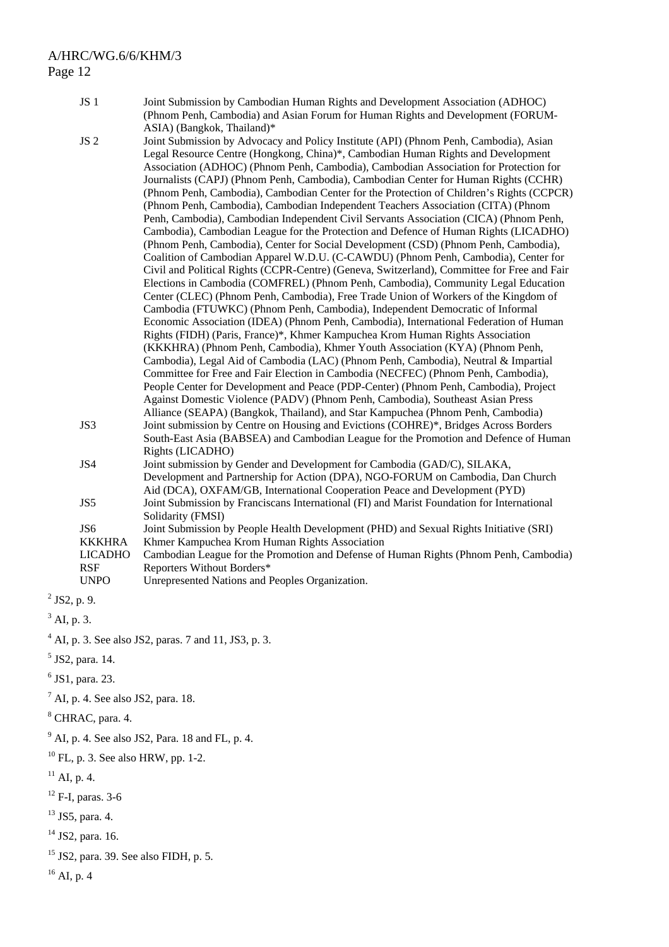- JS 1 Joint Submission by Cambodian Human Rights and Development Association (ADHOC) (Phnom Penh, Cambodia) and Asian Forum for Human Rights and Development (FORUM-ASIA) (Bangkok, Thailand)\*
- JS 2 Joint Submission by Advocacy and Policy Institute (API) (Phnom Penh, Cambodia), Asian Legal Resource Centre (Hongkong, China)\*, Cambodian Human Rights and Development Association (ADHOC) (Phnom Penh, Cambodia), Cambodian Association for Protection for Journalists (CAPJ) (Phnom Penh, Cambodia), Cambodian Center for Human Rights (CCHR) (Phnom Penh, Cambodia), Cambodian Center for the Protection of Children's Rights (CCPCR) (Phnom Penh, Cambodia), Cambodian Independent Teachers Association (CITA) (Phnom Penh, Cambodia), Cambodian Independent Civil Servants Association (CICA) (Phnom Penh, Cambodia), Cambodian League for the Protection and Defence of Human Rights (LICADHO) (Phnom Penh, Cambodia), Center for Social Development (CSD) (Phnom Penh, Cambodia), Coalition of Cambodian Apparel W.D.U. (C-CAWDU) (Phnom Penh, Cambodia), Center for Civil and Political Rights (CCPR-Centre) (Geneva, Switzerland), Committee for Free and Fair Elections in Cambodia (COMFREL) (Phnom Penh, Cambodia), Community Legal Education Center (CLEC) (Phnom Penh, Cambodia), Free Trade Union of Workers of the Kingdom of Cambodia (FTUWKC) (Phnom Penh, Cambodia), Independent Democratic of Informal Economic Association (IDEA) (Phnom Penh, Cambodia), International Federation of Human Rights (FIDH) (Paris, France)\*, Khmer Kampuchea Krom Human Rights Association (KKKHRA) (Phnom Penh, Cambodia), Khmer Youth Association (KYA) (Phnom Penh, Cambodia), Legal Aid of Cambodia (LAC) (Phnom Penh, Cambodia), Neutral & Impartial Committee for Free and Fair Election in Cambodia (NECFEC) (Phnom Penh, Cambodia), People Center for Development and Peace (PDP-Center) (Phnom Penh, Cambodia), Project Against Domestic Violence (PADV) (Phnom Penh, Cambodia), Southeast Asian Press Alliance (SEAPA) (Bangkok, Thailand), and Star Kampuchea (Phnom Penh, Cambodia) JS3 Joint submission by Centre on Housing and Evictions (COHRE)\*, Bridges Across Borders South-East Asia (BABSEA) and Cambodian League for the Promotion and Defence of Human Rights (LICADHO) JS4 Joint submission by Gender and Development for Cambodia (GAD/C), SILAKA, Development and Partnership for Action (DPA), NGO-FORUM on Cambodia, Dan Church Aid (DCA), OXFAM/GB, International Cooperation Peace and Development (PYD) JS5 Joint Submission by Franciscans International (FI) and Marist Foundation for International Solidarity (FMSI) JS6 Joint Submission by People Health Development (PHD) and Sexual Rights Initiative (SRI) KKKHRA Khmer Kampuchea Krom Human Rights Association LICADHO Cambodian League for the Promotion and Defense of Human Rights (Phnom Penh, Cambodia) RSF Reporters Without Borders\* UNPO Unrepresented Nations and Peoples Organization.
- $^{2}$  JS2, p. 9.
- $3$  AI, p. 3.
- 4 AI, p. 3. See also JS2, paras. 7 and 11, JS3, p. 3.
- 5 JS2, para. 14.
- $<sup>6</sup>$  JS1, para. 23.</sup>
- $^7$  AI, p. 4. See also JS2, para. 18.
- 8 CHRAC, para. 4.
- $9^9$  AI, p. 4. See also JS2, Para. 18 and FL, p. 4.
- 10 FL, p. 3. See also HRW, pp. 1-2.
- $^{11}$  AI, p. 4.
- $12$  F-I, paras. 3-6
- 13 JS5, para. 4.
- $14$  JS2, para. 16.
- 15 JS2, para. 39. See also FIDH, p. 5.

 $16$  AI, p. 4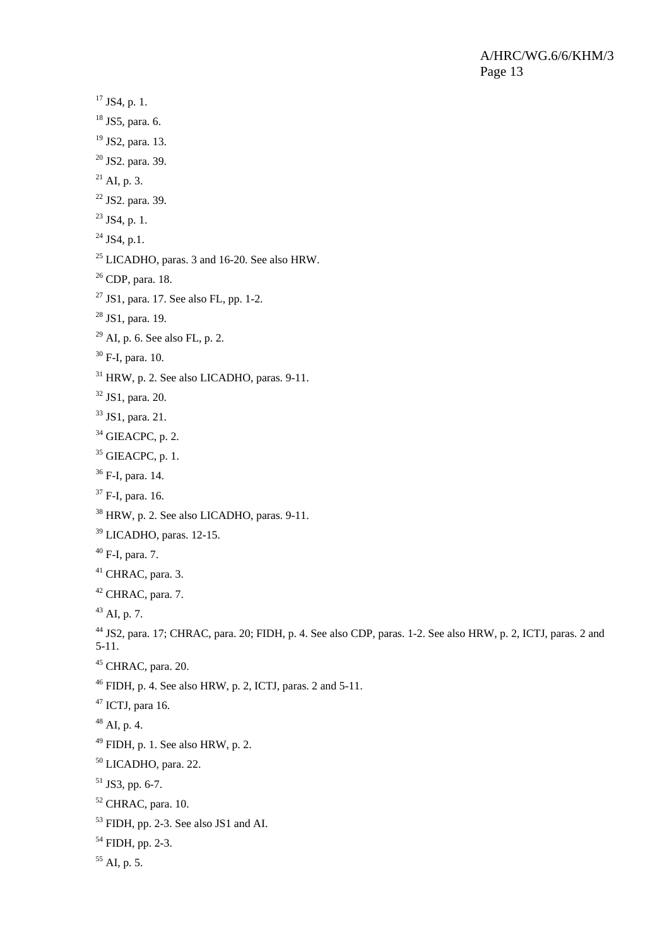```
17 JS4, p. 1.
18 JS5, para. 6.
19 JS2, para. 13. 
20 JS2. para. 39. 
^{21} AI, p. 3.
22 JS2. para. 39. 
^{23} JS4, p. 1.
^{24} JS4, p.1.
<sup>25</sup> LICADHO, paras. 3 and 16-20. See also HRW.
26 CDP, para. 18. 
27 JS1, para. 17. See also FL, pp. 1-2.
28 JS1, para. 19.
29 AI, p. 6. See also FL, p. 2.
30 F-I, para. 10.
31 HRW, p. 2. See also LICADHO, paras. 9-11.
32 JS1, para. 20. 
33 JS1, para. 21. 
34 GIEACPC, p. 2.
35 GIEACPC, p. 1.
36 F-I, para. 14. 
37 F-I, para. 16. 
38 HRW, p. 2. See also LICADHO, paras. 9-11. 
39 LICADHO, paras. 12-15. 
40 F-I, para. 7. 
41 CHRAC, para. 3.
42 CHRAC, para. 7.
^{43} AI, p. 7.
44 JS2, para. 17; CHRAC, para. 20; FIDH, p. 4. See also CDP, paras. 1-2. See also HRW, p. 2, ICTJ, paras. 2 and 
5-11. 
45 CHRAC, para. 20.
46 FIDH, p. 4. See also HRW, p. 2, ICTJ, paras. 2 and 5-11. 
47 ICTJ, para 16.
48 AI, p. 4.
49 FIDH, p. 1. See also HRW, p. 2.
50 LICADHO, para. 22. 
51 JS3, pp. 6-7.
52 CHRAC, para. 10. 
53 FIDH, pp. 2-3. See also JS1 and AI. 
54 FIDH, pp. 2-3. 
55 AI, p. 5.
```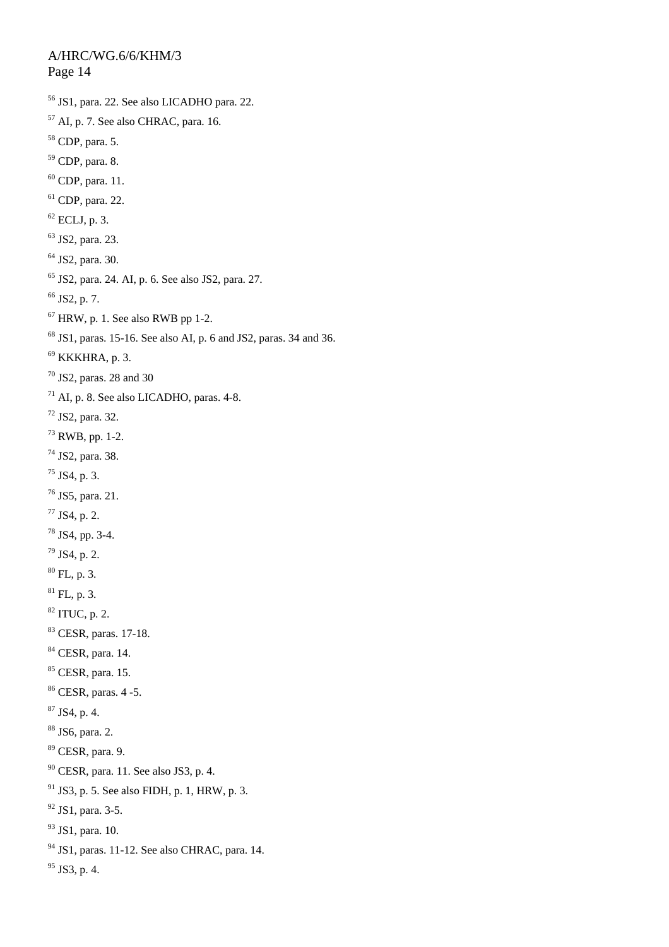56 JS1, para. 22. See also LICADHO para. 22. 57 AI, p. 7. See also CHRAC, para. 16. 58 CDP, para. 5. 59 CDP, para. 8.  $60$  CDP, para. 11. 61 CDP, para. 22.  $62$  ECLJ, p. 3. 63 JS2, para. 23. 64 JS2, para. 30. 65 JS2, para. 24. AI, p. 6. See also JS2, para. 27.  $66$  JS2, p. 7.  $67$  HRW, p. 1. See also RWB pp 1-2.  $68$  JS1, paras. 15-16. See also AI, p. 6 and JS2, paras. 34 and 36.  $69$  KKKHRA, p. 3.  $70$  JS2, paras. 28 and 30 71 AI, p. 8. See also LICADHO, paras. 4-8. 72 JS2, para. 32. 73 RWB, pp. 1-2. 74 JS2, para. 38.  $75$  JS4, p. 3. 76 JS5, para. 21.  $77$  JS4, p. 2. 78 JS4, pp. 3-4.  $79$  JS4, p. 2.  $80$  FL, p. 3.  ${}^{81}$  FL, p. 3.  $82$  ITUC, p. 2. 83 CESR, paras. 17-18. 84 CESR, para. 14. <sup>85</sup> CESR, para. 15. 86 CESR, paras. 4 -5. 87 JS4, p. 4. 88 JS6, para. 2. 89 CESR, para. 9. 90 CESR, para. 11. See also JS3, p. 4.  $91$  JS3, p. 5. See also FIDH, p. 1, HRW, p. 3. 92 JS1, para. 3-5. 93 JS1, para. 10.  $94$  JS1, paras. 11-12. See also CHRAC, para. 14.  $95$  JS3, p. 4.